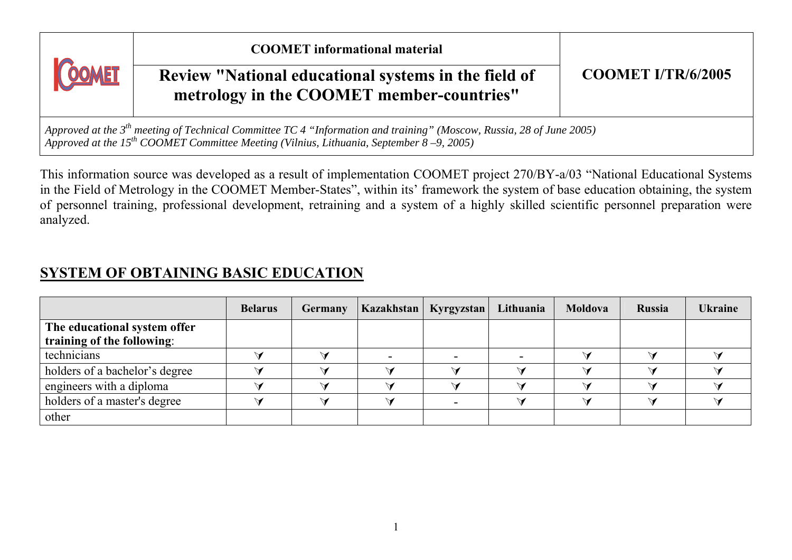| COOMET                                                                                                                                                                                                                           | <b>COOMET</b> informational material<br>Review "National educational systems in the field of<br>metrology in the COOMET member-countries" | <b>COOMET I/TR/6/2005</b> |  |  |  |  |  |
|----------------------------------------------------------------------------------------------------------------------------------------------------------------------------------------------------------------------------------|-------------------------------------------------------------------------------------------------------------------------------------------|---------------------------|--|--|--|--|--|
| Approved at the $3^{th}$ meeting of Technical Committee TC 4 "Information and training" (Moscow, Russia, 28 of June 2005)<br>Approved at the 15 <sup>th</sup> COOMET Committee Meeting (Vilnius, Lithuania, September 8–9, 2005) |                                                                                                                                           |                           |  |  |  |  |  |

This information source was developed as a result of implementation COOMET project 270/BY-a/03 "National Educational Systems in the Field of Metrology in the COOMET Member-States", within its' framework the system of base education obtaining, the system of personnel training, professional development, retraining and a system of a highly skilled scientific personnel preparation were analyzed.

### **SYSTEM OF OBTAINING BASIC EDUCATION**

|                                | <b>Belarus</b> | <b>Germany</b> | <b>Kazakhstan</b> | <b>Kyrgyzstan</b> | Lithuania | Moldova | <b>Russia</b> | <b>Ukraine</b> |
|--------------------------------|----------------|----------------|-------------------|-------------------|-----------|---------|---------------|----------------|
| The educational system offer   |                |                |                   |                   |           |         |               |                |
| training of the following:     |                |                |                   |                   |           |         |               |                |
| technicians                    |                |                |                   |                   |           |         |               |                |
| holders of a bachelor's degree |                |                |                   |                   |           |         |               |                |
| engineers with a diploma       |                |                |                   |                   |           |         |               |                |
| holders of a master's degree   |                |                |                   |                   |           |         |               |                |
| other                          |                |                |                   |                   |           |         |               |                |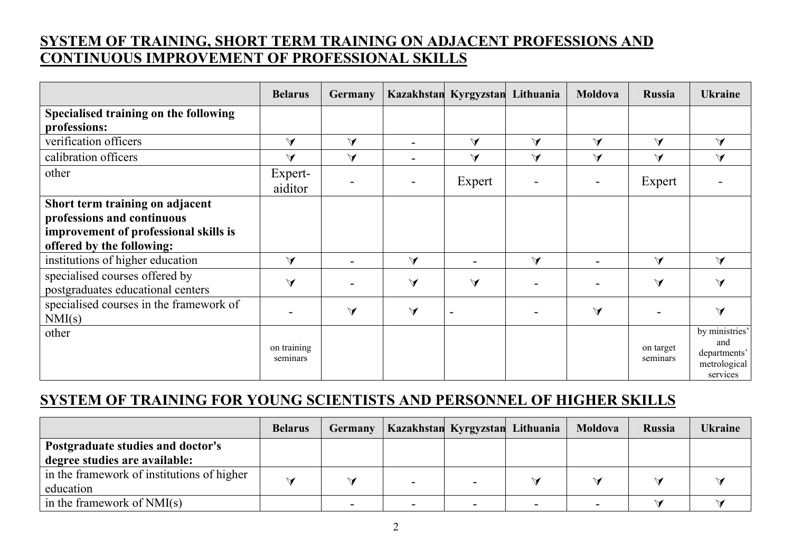### **SYSTEM OF TRAINING, SHORT TERM TRAINING ON ADJACENT PROFESSIONS AND CONTINUOUS IMPROVEMENT OF PROFESSIONAL SKILLS**

|                                                                     | <b>Belarus</b>          | <b>Germany</b>       |                      | Kazakhstan Kyrgyzstan Lithuania |        | <b>Moldova</b>       | <b>Russia</b>         | <b>Ukraine</b>                                                    |
|---------------------------------------------------------------------|-------------------------|----------------------|----------------------|---------------------------------|--------|----------------------|-----------------------|-------------------------------------------------------------------|
| Specialised training on the following                               |                         |                      |                      |                                 |        |                      |                       |                                                                   |
| professions:                                                        |                         |                      |                      |                                 |        |                      |                       |                                                                   |
| verification officers                                               | $\vee$                  | $\blacktriangleleft$ |                      | $\vee$                          | $\vee$ | $\blacktriangledown$ | $\vee$                | $\blacktriangleleft$                                              |
| calibration officers                                                | $\vee$                  | $\vee$               |                      | $\blacktriangleleft$            | $\vee$ | $\blacktriangledown$ | $\vee$                | $\vee$                                                            |
| other                                                               | Expert-<br>aiditor      |                      |                      | Expert                          |        |                      | Expert                |                                                                   |
| Short term training on adjacent                                     |                         |                      |                      |                                 |        |                      |                       |                                                                   |
| professions and continuous                                          |                         |                      |                      |                                 |        |                      |                       |                                                                   |
| improvement of professional skills is                               |                         |                      |                      |                                 |        |                      |                       |                                                                   |
| offered by the following:                                           |                         |                      |                      |                                 |        |                      |                       |                                                                   |
| institutions of higher education                                    | $\vee$                  |                      | $\blacktriangledown$ |                                 | $\vee$ | $\blacksquare$       | $\blacktriangleleft$  | $\vee$                                                            |
| specialised courses offered by<br>postgraduates educational centers | $\blacktriangleleft$    |                      | $\blacktriangleleft$ | $\blacktriangledown$            |        |                      | $\blacktriangleleft$  | $\blacktriangleleft$                                              |
| specialised courses in the framework of<br>NMI(s)                   |                         | $\blacktriangleleft$ | $\blacktriangleleft$ |                                 |        | $\blacktriangleleft$ |                       | $\blacktriangleleft$                                              |
| other                                                               | on training<br>seminars |                      |                      |                                 |        |                      | on target<br>seminars | by ministries'<br>and<br>departments'<br>metrological<br>services |

### **SYSTEM OF TRAINING FOR YOUNG SCIENTISTS AND PERSONNEL OF HIGHER SKILLS**

|                                            | <b>Belarus</b> | <b>Germany</b> | Kazakhstan Kyrgyzstan Lithuania |  | Moldova | <b>Russia</b> | <b>Ukraine</b> |
|--------------------------------------------|----------------|----------------|---------------------------------|--|---------|---------------|----------------|
| Postgraduate studies and doctor's          |                |                |                                 |  |         |               |                |
| degree studies are available:              |                |                |                                 |  |         |               |                |
| in the framework of institutions of higher |                |                |                                 |  |         |               |                |
| education                                  |                |                |                                 |  |         |               |                |
| in the framework of $NMI(s)$               |                |                |                                 |  |         |               |                |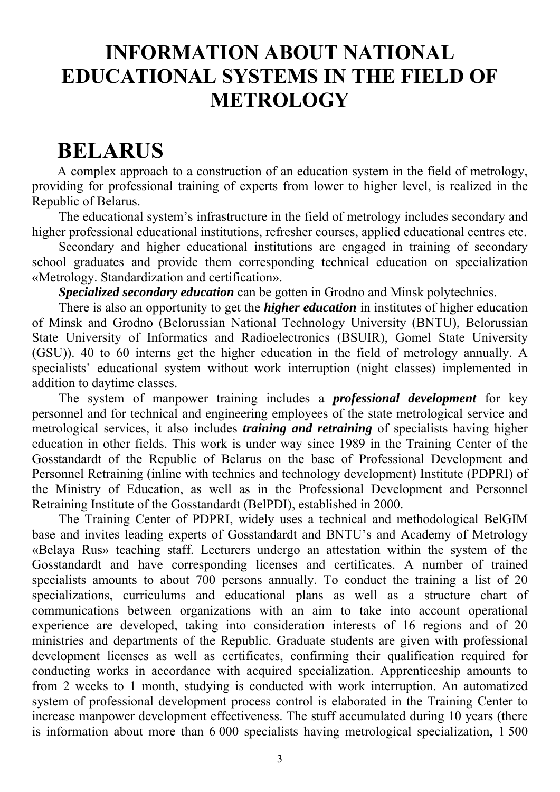### **INFORMATION ABOUT NATIONAL EDUCATIONAL SYSTEMS IN THE FIELD OF METROLOGY**

### **BELARUS**

A complex approach to a construction of an education system in the field of metrology, providing for professional training of experts from lower to higher level, is realized in the Republic of Belarus.

The educational system's infrastructure in the field of metrology includes secondary and higher professional educational institutions, refresher courses, applied educational centres etc.

Secondary and higher educational institutions are engaged in training of secondary school graduates and provide them corresponding technical education on specialization «Metrology. Standardization and certification».

*Specialized secondary education* can be gotten in Grodno and Minsk polytechnics.

There is also an opportunity to get the *higher education* in institutes of higher education of Minsk and Grodno (Belorussian National Technology University (BNTU), Belorussian State University of Informatics and Radioelectronics (BSUIR), Gomel State University (GSU)). 40 to 60 interns get the higher education in the field of metrology annually. A specialists' educational system without work interruption (night classes) implemented in addition to daytime classes.

The system of manpower training includes a *professional development* for key personnel and for technical and engineering employees of the state metrological service and metrological services, it also includes *training and retraining* of specialists having higher education in other fields. This work is under way since 1989 in the Training Center of the Gosstandardt of the Republic of Belarus on the base of Professional Development and Personnel Retraining (inline with technics and technology development) Institute (PDPRI) of the Ministry of Education, as well as in the Professional Development and Personnel Retraining Institute of the Gosstandardt (BelPDI), established in 2000.

The Training Center of PDPRI, widely uses a technical and methodological BelGIM base and invites leading experts of Gosstandardt and BNTU's and Academy of Metrology «Belaya Rus» teaching staff. Lecturers undergo an attestation within the system of the Gosstandardt and have corresponding licenses and certificates. A number of trained specialists amounts to about 700 persons annually. To conduct the training a list of 20 specializations, curriculums and educational plans as well as a structure chart of communications between organizations with an aim to take into account operational experience are developed, taking into consideration interests of 16 regions and of 20 ministries and departments of the Republic. Graduate students are given with professional development licenses as well as certificates, confirming their qualification required for conducting works in accordance with acquired specialization. Apprenticeship amounts to from 2 weeks to 1 month, studying is conducted with work interruption. An automatized system of professional development process control is elaborated in the Training Center to increase manpower development effectiveness. The stuff accumulated during 10 years (there is information about more than 6 000 specialists having metrological specialization, 1 500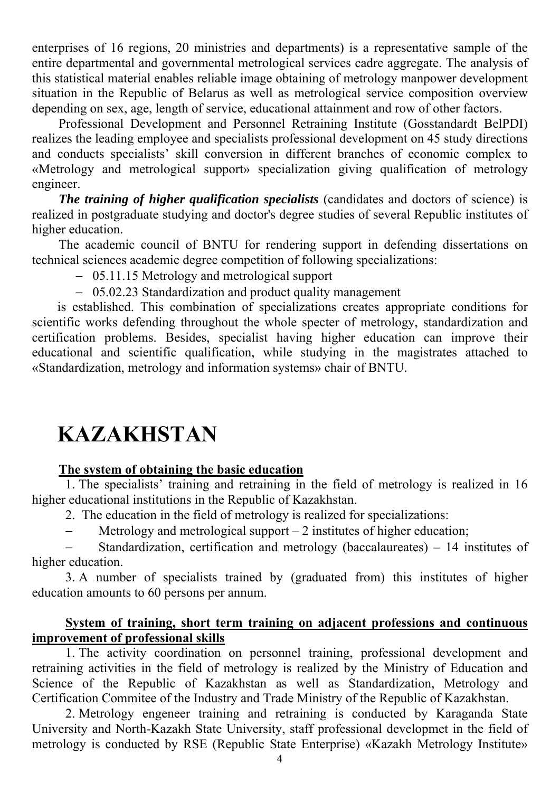enterprises of 16 regions, 20 ministries and departments) is a representative sample of the entire departmental and governmental metrological services cadre aggregate. The analysis of this statistical material enables reliable image obtaining of metrology manpower development situation in the Republic of Belarus as well as metrological service composition overview depending on sex, age, length of service, educational attainment and row of other factors.

Professional Development and Personnel Retraining Institute (Gosstandardt BelPDI) realizes the leading employee and specialists professional development on 45 study directions and conducts specialists' skill conversion in different branches of economic complex to «Metrology and metrological support» specialization giving qualification of metrology engineer.

*The training of higher qualification specialists* (candidates and doctors of science) is realized in postgraduate studying and doctor's degree studies of several Republic institutes of higher education.

The academic council of BNTU for rendering support in defending dissertations on technical sciences academic degree competition of following specializations:

- − 05.11.15 Metrology and metrological support
- − 05.02.23 Standardization and product quality management

is established. This combination of specializations creates appropriate conditions for scientific works defending throughout the whole specter of metrology, standardization and certification problems. Besides, specialist having higher education can improve their educational and scientific qualification, while studying in the magistrates attached to «Standardization, metrology and information systems» chair of BNTU.

## **KAZAKHSTAN**

#### **The system of obtaining the basic education**

1. The specialists' training and retraining in the field of metrology is realized in 16 higher educational institutions in the Republic of Kazakhstan.

- 2. The education in the field of metrology is realized for specializations:
- − Metrology and metrological support 2 institutes of higher education;

Standardization, certification and metrology (baccalaureates) – 14 institutes of higher education.

3. A number of specialists trained by (graduated from) this institutes of higher education amounts to 60 persons per annum.

#### **System of training, short term training on adjacent professions and continuous improvement of professional skills**

1. The activity coordination on personnel training, professional development and retraining activities in the field of metrology is realized by the Ministry of Education and Science of the Republic of Kazakhstan as well as Standardization, Metrology and Certification Commitee of the Industry and Trade Ministry of the Republic of Kazakhstan.

2. Metrology engeneer training and retraining is conducted by Karaganda State University and North-Kazakh State University, staff professional developmet in the field of metrology is conducted by RSE (Republic State Enterprise) «Kazakh Metrology Institute»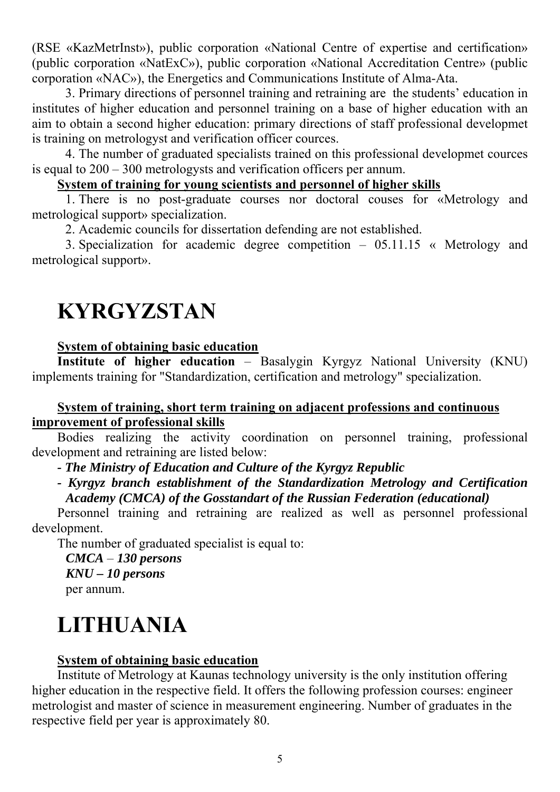(RSE «KazMetrInst»), public corporation «National Centre of expertise and certification» (public corporation «NatExC»), public corporation «National Accreditation Centre» (public corporation «NAC»), the Energetics and Communications Institute of Alma-Ata.

3. Primary directions of personnel training and retraining are the students' education in institutes of higher education and personnel training on a base of higher education with an aim to obtain a second higher education: primary directions of staff professional developmet is training on metrologyst and verification officer cources.

4. The number of graduated specialists trained on this professional developmet cources is equal to 200 – 300 metrologysts and verification officers per annum.

#### **System of training for young scientists and personnel of higher skills**

1. There is no post-graduate courses nor doctoral couses for «Metrology and metrological support» specialization.

2. Academic councils for dissertation defending are not established.

3. Specialization for academic degree competition – 05.11.15 « Metrology and metrological support».

## **KYRGYZSTAN**

#### **System of obtaining basic education**

**Institute of higher education** – Basalygin Kyrgyz National University (KNU) implements training for "Standardization, certification and metrology" specialization.

#### **System of training, short term training on adjacent professions and continuous improvement of professional skills**

Bodies realizing the activity coordination on personnel training, professional development and retraining are listed below:

*- The Ministry of Education and Culture of the Kyrgyz Republic* 

*- Kyrgyz branch establishment of the Standardization Metrology and Certification Academy (CMCA) of the Gosstandart of the Russian Federation (educational)* 

Personnel training and retraining are realized as well as personnel professional development.

The number of graduated specialist is equal to:

*CMCA* – *130 persons KNU – 10 persons*  per annum.

# **LITHUANIA**

#### **System of obtaining basic education**

Institute of Metrology at Kaunas technology university is the only institution offering higher education in the respective field. It offers the following profession courses: engineer metrologist and master of science in measurement engineering. Number of graduates in the respective field per year is approximately 80.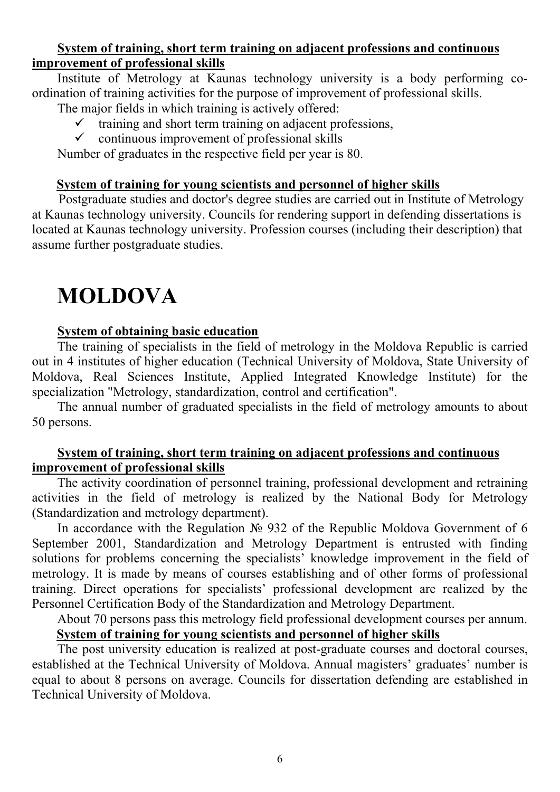#### **System of training, short term training on adjacent professions and continuous improvement of professional skills**

Institute of Metrology at Kaunas technology university is a body performing coordination of training activities for the purpose of improvement of professional skills.

The major fields in which training is actively offered:

- $\checkmark$  training and short term training on adjacent professions,
- $\checkmark$  continuous improvement of professional skills

Number of graduates in the respective field per year is 80.

#### **System of training for young scientists and personnel of higher skills**

Postgraduate studies and doctor's degree studies are carried out in Institute of Metrology at Kaunas technology university. Councils for rendering support in defending dissertations is located at Kaunas technology university. Profession courses (including their description) that assume further postgraduate studies.

# **MOLDOVA**

#### **System of obtaining basic education**

The training of specialists in the field of metrology in the Moldova Republic is carried out in 4 institutes of higher education (Technical University of Moldova, State University of Moldova, Real Sciences Institute, Applied Integrated Knowledge Institute) for the specialization "Metrology, standardization, control and certification".

The annual number of graduated specialists in the field of metrology amounts to about 50 persons.

#### **System of training, short term training on adjacent professions and continuous improvement of professional skills**

The activity coordination of personnel training, professional development and retraining activities in the field of metrology is realized by the National Body for Metrology (Standardization and metrology department).

In accordance with the Regulation № 932 of the Republic Moldova Government of 6 September 2001, Standardization and Metrology Department is entrusted with finding solutions for problems concerning the specialists' knowledge improvement in the field of metrology. It is made by means of courses establishing and of other forms of professional training. Direct operations for specialists' professional development are realized by the Personnel Certification Body of the Standardization and Metrology Department.

About 70 persons pass this metrology field professional development courses per annum. **System of training for young scientists and personnel of higher skills**

The post university education is realized at post-graduate courses and doctoral courses, established at the Technical University of Moldova. Annual magisters' graduates' number is equal to about 8 persons on average. Councils for dissertation defending are established in Technical University of Moldova.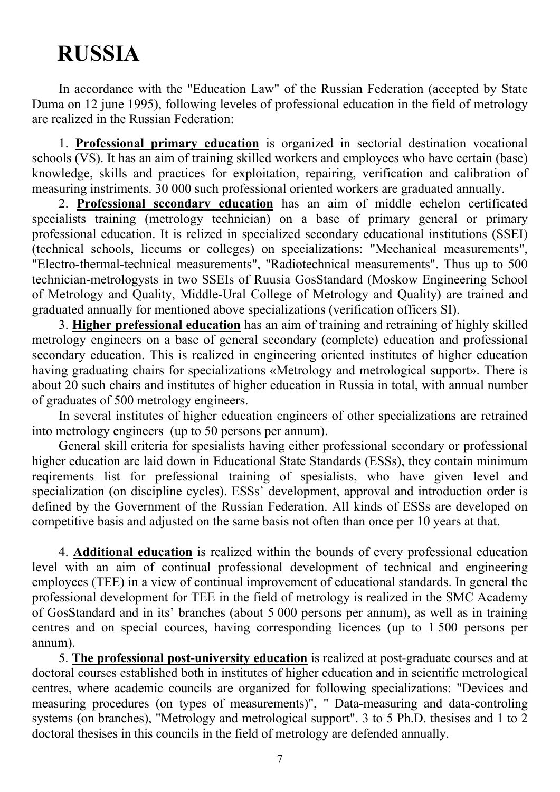# **RUSSIA**

In accordance with the "Education Law" of the Russian Federation (accepted by State Duma on 12 june 1995), following leveles of professional education in the field of metrology are realized in the Russian Federation:

1. **Professional primary education** is organized in sectorial destination vocational schools  $\overline{(VS)}$ . It has an aim of training skilled workers and employees who have certain (base) knowledge, skills and practices for exploitation, repairing, verification and calibration of measuring instriments. 30 000 such professional oriented workers are graduated annually.

2. **Professional secondary education** has an aim of middle echelon certificated specialists training (metrology technician) on a base of primary general or primary professional education. It is relized in specialized secondary educational institutions (SSEI) (technical schools, liceums or colleges) on specializations: "Mechanical measurements", "Electro-thermal-technical measurements", "Radiotechnical measurements". Thus up to 500 technician-metrologysts in two SSEIs of Ruusia GosStandard (Moskow Engineering School of Metrology and Quality, Middle-Ural College of Metrology and Quality) are trained and graduated annually for mentioned above specializations (verification officers SI).

3. **Higher prefessional education** has an aim of training and retraining of highly skilled metrology engineers on a base of general secondary (complete) education and professional secondary education. This is realized in engineering oriented institutes of higher education having graduating chairs for specializations «Metrology and metrological support». There is about 20 such chairs and institutes of higher education in Russia in total, with annual number of graduates of 500 metrology engineers.

In several institutes of higher education engineers of other specializations are retrained into metrology engineers (up to 50 persons per annum).

General skill criteria for spesialists having either professional secondary or professional higher education are laid down in Educational State Standards (ESSs), they contain minimum reqirements list for prefessional training of spesialists, who have given level and specialization (on discipline cycles). ESSs' development, approval and introduction order is defined by the Government of the Russian Federation. All kinds of ESSs are developed on competitive basis and adjusted on the same basis not often than once per 10 years at that.

4. **Additional education** is realized within the bounds of every professional education level with an aim of continual professional development of technical and engineering employees (TEE) in a view of continual improvement of educational standards. In general the professional development for TEE in the field of metrology is realized in the SMC Academy of GosStandard and in its' branches (about 5 000 persons per annum), as well as in training centres and on special cources, having corresponding licences (up to 1 500 persons per annum).

5. **The professional post-university education** is realized at post-graduate courses and at doctoral courses established both in institutes of higher education and in scientific metrological centres, where academic councils are organized for following specializations: "Devices and measuring procedures (on types of measurements)", " Data-measuring and data-controling systems (on branches), "Metrology and metrological support". 3 to 5 Ph.D. thesises and 1 to 2 doctoral thesises in this councils in the field of metrology are defended annually.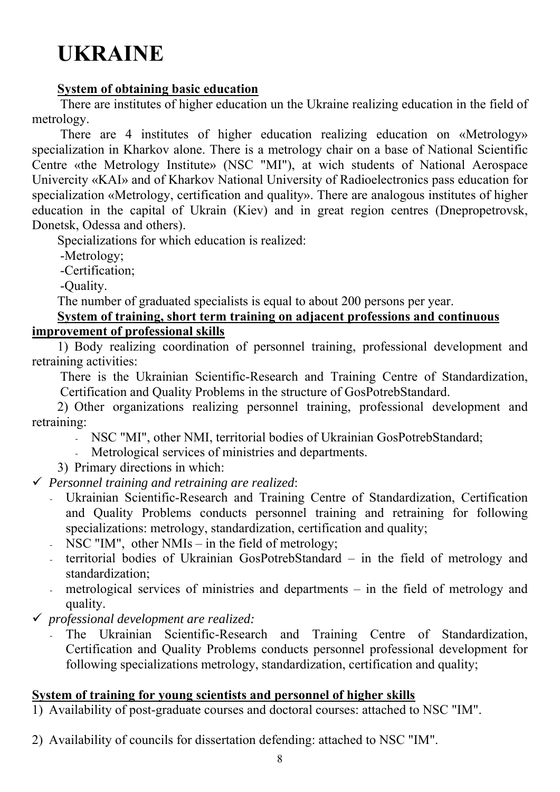# **UKRAINE**

#### **System of obtaining basic education**

There are institutes of higher education un the Ukraine realizing education in the field of metrology.

There are 4 institutes of higher education realizing education on «Metrology» specialization in Kharkov alone. There is a metrology chair on a base of National Scientific Centre «the Metrology Institute» (NSC "MI"), at wich students of National Aerospace Univercity «KAI» and of Kharkov National University of Radioelectronics pass education for specialization «Metrology, certification and quality». There are analogous institutes of higher education in the capital of Ukrain (Kiev) and in great region centres (Dnepropetrovsk, Donetsk, Odessa and others).

Specializations for which education is realized:

-Metrology;

-Certification;

-Quality.

The number of graduated specialists is equal to about 200 persons per year.

#### **System of training, short term training on adjacent professions and continuous improvement of professional skills**

1) Body realizing coordination of personnel training, professional development and retraining activities:

There is the Ukrainian Scientific-Research and Training Centre of Standardization, Certification and Quality Problems in the structure of GosPotrebStandard.

2) Other organizations realizing personnel training, professional development and retraining:

- NSC "MI", other NMI, territorial bodies of Ukrainian GosPotrebStandard;
- Metrological services of ministries and departments.
- 3) Primary directions in which:

9 *Personnel training and retraining are realized*:

- Ukrainian Scientific-Research and Training Centre of Standardization, Certification and Quality Problems conducts personnel training and retraining for following specializations: metrology, standardization, certification and quality;
- NSC "IM", other NMIs in the field of metrology;
- territorial bodies of Ukrainian GosPotrebStandard in the field of metrology and standardization;
- metrological services of ministries and departments in the field of metrology and quality.
- 9 *professional development are realized:* 
	- The Ukrainian Scientific-Research and Training Centre of Standardization, Certification and Quality Problems conducts personnel professional development for following specializations metrology, standardization, certification and quality;

#### **System of training for young scientists and personnel of higher skills**

1) Availability of post-graduate courses and doctoral courses: attached to NSC "IM".

2) Availability of councils for dissertation defending: attached to NSC "IM".